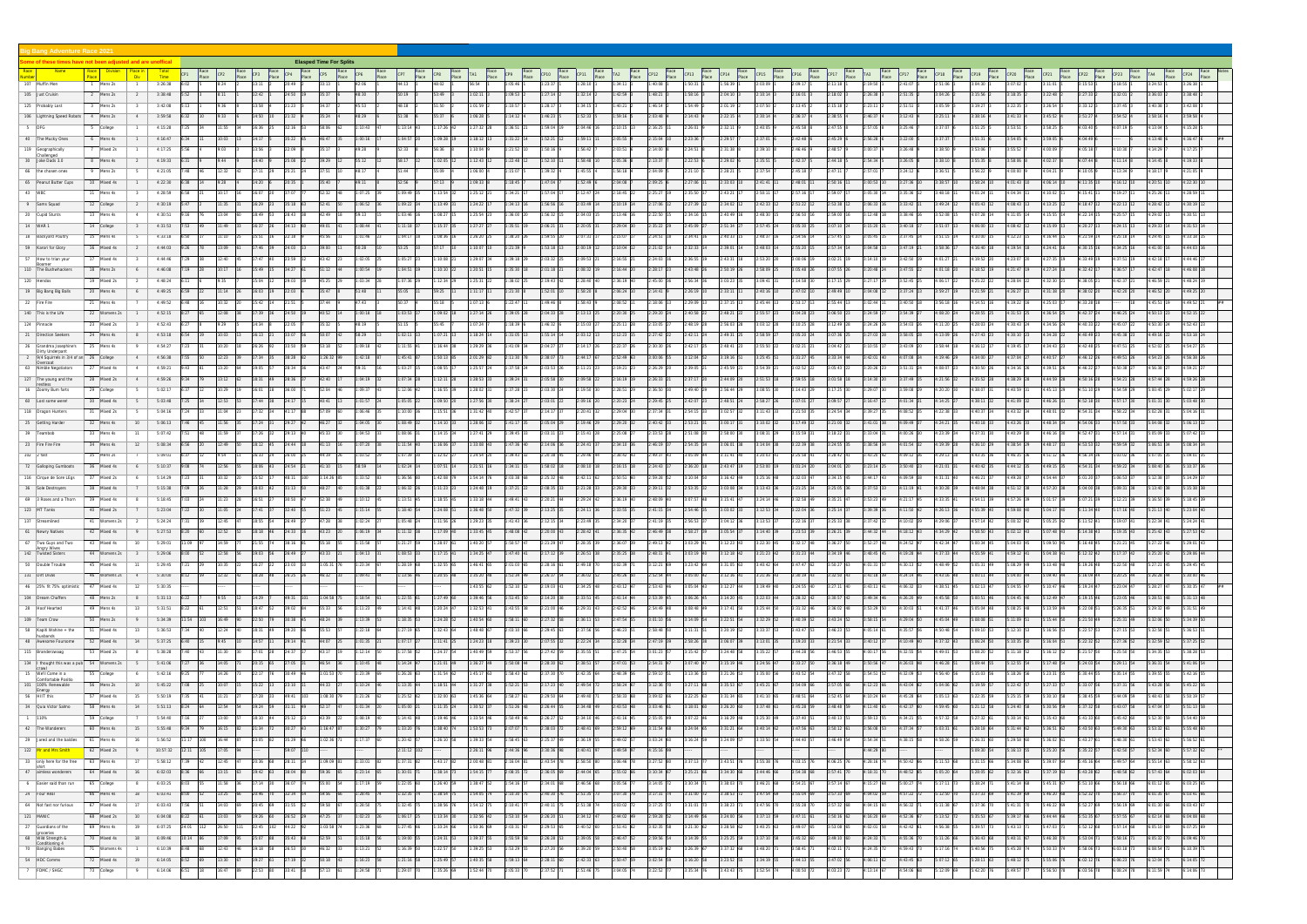|                       | ig Bang Adventure Race 2021                                    |  |                                                                      |                                            |                    |                      |                |      |                          |                                |                  |            |    |                    |                   |                    |                         |                      |                              |                    |              |                          |                   |                   |                   |                    |                  |                       |                    |                     |             |  |             |                      |                  |         |                    |  |
|-----------------------|----------------------------------------------------------------|--|----------------------------------------------------------------------|--------------------------------------------|--------------------|----------------------|----------------|------|--------------------------|--------------------------------|------------------|------------|----|--------------------|-------------------|--------------------|-------------------------|----------------------|------------------------------|--------------------|--------------|--------------------------|-------------------|-------------------|-------------------|--------------------|------------------|-----------------------|--------------------|---------------------|-------------|--|-------------|----------------------|------------------|---------|--------------------|--|
|                       | ome of these times have not been adjusted and are unoffical    |  |                                                                      |                                            |                    |                      |                |      |                          | <b>Elasped Time For Splits</b> |                  |            |    |                    |                   |                    |                         |                      |                              |                    |              |                          |                   |                   |                   |                    |                  |                       |                    |                     |             |  |             |                      |                  |         |                    |  |
| Race<br><b>lumber</b> | <b>Name</b>                                                    |  | <b>Division</b>                                                      |                                            | Total<br>Time      |                      |                |      |                          |                                |                  |            |    |                    |                   |                    |                         |                      |                              |                    |              |                          |                   |                   |                   |                    |                  |                       |                    |                     |             |  |             |                      |                  |         |                    |  |
|                       | 107 Muffin Men                                                 |  | Mens 2s                                                              |                                            | 3:26:38            |                      |                |      |                          |                                |                  |            |    |                    |                   |                    |                         |                      |                              |                    |              |                          |                   |                   |                   |                    |                  |                       |                    |                     |             |  |             |                      |                  |         | :26:38             |  |
|                       | 105 Just Cruisin                                               |  | 2 Mens 2s                                                            | $\overline{2}$                             | 3:38:48            |                      |                |      | :42                      |                                | 48.30            |            |    | $53 - 49$          |                   | :09:53             |                         | 32:14                | :42:59                       | 1:48:2             |              | $-04-10$                 |                   |                   | 18:02             | 2.26:3             |                  | :04:26                | 15:56              | 18:35               |             |  |             |                      |                  |         | 38:48              |  |
|                       | 125 Probably Lost                                              |  | 3 Mens 2s                                                            | $\overline{\mathbf{3}}$                    | 3:42:08            |                      |                |      | :58                      | 34:37                          |                  |            |    |                    |                   | 10:5               | 1:28:1                  | 34:15                | :40:2"                       |                    |              |                          |                   | :13:45            |                   | 2:23:              |                  | :05:59                |                    | 22:35               | :26:54      |  |             | 37:45                | :40:3            |         | 3:42:08            |  |
|                       | 106   Lightning Speed Robots  <br>5 IDFG                       |  | 4 Mens 2s                                                            |                                            | 3:59:58            |                      |                |      | 1:50                     | 35:24                          |                  |            |    | 55:37              | :06:28            | :14:12             | :46:23                  | 52:33                | 59:16                        | 03:48              | 14:43        | 22:15                    | :30:14            | :36:37            | :38:55            | 2:46:3             |                  | :25:11                | 3:38:16            | 41:33               | :45:52      |  |             | 54:52                |                  |         | 3:59:58            |  |
|                       |                                                                |  | 5 College                                                            |                                            | 4:15:28            |                      |                |      | 5:36 I                   | 38:06                          | 10:43<br>00:16   |            |    | :17:26             | :27:32            | :36:5'             |                         | 04:46                |                              | :16:25             |              |                          | :40:05            | :45:58            | 47:55             |                    |                  | :37:07<br>37:37       | 3:51:25            | 53:51               | -58-21      |  |             | 17:19                |                  |         | 15:28<br>:16:47    |  |
|                       | 40 The Mucky Ones                                              |  | 6 Mens 4s                                                            |                                            | 4:16:47            |                      |                |      |                          | 46:4                           |                  |            |    | :09:28             |                   | :21:52             |                         |                      |                              |                    |              |                          |                   | :42:48            | 15:29             | 2:56:2             |                  |                       |                    | 54:05               |             |  |             |                      |                  |         |                    |  |
|                       | 119 Geographically<br>Challenged<br>30 Joke Dads 3.0           |  | Mixed 2s<br>8 Mens 4s                                                | <sup>2</sup>                               | 4:17:25<br>4:19:33 |                      |                |      | $40-$                    | 39.29                          | 55:12            |            |    | 56:36<br>1:02:05   | 10:04<br>:12:43   | :22:48             | :52:10                  | 56:42<br>58:48       | :05:36                       |                    |              | 29.02                    | 39:10<br>:35:51   | :46:46<br>:42:37  | :48:57<br>2:44:18 | 3:00:<br>2:54:3    |                  | :38:50<br>:38:10      | 3:55:35            | 55:52<br>:58:06     | $-02.3$     |  |             | 0:30<br>1:14         |                  |         | l:19:33            |  |
|                       | 66 the chosen ones                                             |  |                                                                      |                                            | 4:21:05            | :48                  |                |      |                          |                                |                  |            |    |                    | :06:00            | 15:0               |                         | 45:55                |                              |                    |              | :28:21                   |                   | :45:1             |                   |                    |                  | :36:51                | 3:56:22            |                     |             |  |             |                      |                  |         | 4:21:05            |  |
|                       | 65 Peanut Butter Cups                                          |  | 9 Mens 2s<br>10 Mixed 4s                                             | - 5                                        | 4:22:30            |                      |                |      | $\frac{1}{20}$           | 35:40                          |                  |            |    | 55:09<br>57:13     | 1:09:33           | :18:45             | $-47.04$                | 52:49                | 2:04:08                      |                    |              |                          | 2:41:41           | :48:01            | 50:16             | 3:00:5             |                  | $:38:57$ 1            | 3:58:24            | :00:00<br>01:43     | $-06 - 14$  |  |             | 13:34<br>16:12       |                  |         | 4:22:30            |  |
|                       | 43 WBC                                                         |  | 11 Mens 4s                                                           |                                            | 4:28:59            |                      |                |      | i:07                     |                                | 07:25            | 39:49      |    | :13:54             | :25:12            | :34:2              |                         | $12:47$ 2            | :18:45 €                     |                    |              |                          | :50:11            | $57 - 16$         | 59:07             |                    |                  | :48:18                | 1:01:24            | 04:34               |             |  |             | 19:27                |                  |         | :28:59             |  |
|                       | 9 Sams Squad                                                   |  | 12 College                                                           | 2                                          | 4:30:19            |                      |                |      | :29                      |                                | :06:52           | 09:22      |    | 13:4               | :24:22            | :34:1              | :56:56                  | 13:49                |                              |                    |              | :34:02                   | :42:33            |                   | 53:38             |                    |                  | :49:24                | 1:05:43            | 08:43               |             |  |             | 22:13                | :28:4            |         | 4:30:19            |  |
|                       | 20 Cupid Stunts                                                |  | 13 Mens 4s                                                           | 4                                          | 4:30:51            |                      |                |      | B:49<br>3:43             | 42:49                          | 59:13            | 03:46      |    | 1:08:27            | 1:25:54           | $:36:00$ 2         | 1:56:32                 | :04:03               | $2:13:46$ 1                  | 2:22:50            |              | $2:40:49$ 1              | 2:48:30           | 2:56:50           | 59:00             | 3:12:4             |                  | 3:52:08 15            | 4:07:28            | 11:05               | :15:55 F    |  |             | 25:57                | 4:29:0           |         | 4:30:51            |  |
|                       | 14   WAR 1                                                     |  | 14 College                                                           | -3                                         | 4:31:53            |                      |                |      |                          |                                | :08:44           |            |    |                    |                   |                    |                         | 20:05                | 29:04 L                      |                    |              | 51:34                    | 57:45             | 05:30             |                   |                    |                  | 51:07                 | 1:06:00            | 08:42               |             |  |             | 24:15                |                  |         | I:31:53            |  |
|                       | 18 Backyard Poultry                                            |  | 15 Mens 4s                                                           | 5                                          | 4:33:18            |                      |                |      |                          |                                | 01:46            |            |    | :08:36             | 1:26:20           | 38:20              |                         |                      |                              |                    |              | 2:40:33                  | :48:37            | :54:56            | 57:45             |                    |                  | $:51:15$ 1            | $-10 - 00$         | 12:23               | 16:4        |  |             | 25:18                |                  |         | 4:33:18            |  |
|                       | 59 Karori for Glory                                            |  | 16 Mixed 4s                                                          | $\overline{2}$                             | 4:44:03            |                      |                |      | 1:46                     | 39:00                          | 50:28            |            |    | $57 - 17$          | $-10 - 07$        | :21:39             |                         | 00:19                | 10:04                        |                    |              | :39:01                   | :48:03            | 55:20             | 57:34             | 3:04:5             |                  | :58:36 1              | 1:16:40            | 19:54               | $: 24:41$ 1 |  |             | 34:25                | $-41-0$          |         | 4:44:03            |  |
|                       | 57 How to trian your                                           |  | 17 Mixed 4s                                                          |                                            | 4:44:46            |                      |                |      | :47   4                  | 43:42                          | :02:05           | 05:27      |    | :10:08             | :29:07            | 39:18              |                         | 09:53                | :16:55                       | 2:24:03            |              | :43:31 1                 | :53:20            | :00:06            | 02:21             | :14:1              |                  | :01:27                | :19:52             | 23:07               |             |  |             | 37:51                | :42:1            |         | :44:46             |  |
|                       | Boomer<br>110 The Bushwhackers                                 |  | 18 Mens 2s                                                           | 6                                          | 4:46:08            |                      |                |      |                          |                                | .00:54           | 04:51      |    | :10:1              |                   |                    |                         | 08:32                | 16:44                        |                    |              |                          | 58:09             | 05:48             |                   |                    |                  | :01:18                | :18:52             |                     |             |  |             | 36:57                |                  |         | 4:46:08            |  |
|                       | 120 Hendos                                                     |  | 19 Mixed 2s                                                          | 2                                          | 4:48:24            |                      |                |      | :04                      | 45:25                          | 03:34            |            |    | 1:12:34            | $-25-3$           | :38:02             |                         | 28:40                | 2:36:19                      |                    |              | 03:23                    | :09:41            | :14:58            |                   |                    |                  | :06:17                | 4:25:22            | 28:04               | :32:3       |  |             | 42:37                |                  |         | 4:48:24            |  |
|                       | 19 Big Bang Big Balls                                          |  | 20 Mens 4s                                                           | 6                                          | 4:49:25            |                      |                |      | 5:03                     |                                | :48              |            |    | 59:25              |                   |                    |                         | 58:20                | 2:06:24                      | 14:41              |              |                          | 40:16             | 47:02             | 49:49             |                    |                  | :59:27                |                    | 26:27               |             |  |             | 42:20 2              | :46:5            |         | :49:25             |  |
|                       | 22 Fire Fire                                                   |  | Mens 4s                                                              |                                            | 4:49:52            |                      |                |      | :42                      |                                |                  |            |    |                    |                   | $22 - 4$           |                         | 58:43                | $0.08 - 52$                  |                    |              |                          | 45.44             |                   | 55.44             |                    |                  | :56:18                |                    | 19:22               |             |  |             |                      |                  |         | :49:52             |  |
|                       | 140 This is the Life                                           |  | 22   Womens 2s                                                       |                                            | 4:52:15            |                      |                |      | 1:39 36                  | 40:52                          | 1:00:18          |            |    | 1:09:02 18         | 1:27:14           | :39:05             | 2:04:33                 | $13:13$ .            | $2:20:30$ 2                  | 2:29:20            |              | $2:48:21$ 2              | :55:57            | $:04:28$ .        | 3:06:50 2         | 3:24:5'            |                  | 4:08:20 24            | 4:28:55            | :31:53              | $:36:54$ 25 |  | 4:42:37     | 46:25 24             | :50:1            |         | 4:52:15            |  |
|                       | 124 Pinnacle                                                   |  | 23 Mixed 2s                                                          |                                            | 4:52:43            |                      |                |      | 1:34                     | 35:32                          |                  |            |    | 55:45              | :07:24            | 18:39              | :46:32                  | 15:03                | :25:11                       |                    |              | :56:03 28                | 03:12             | :10:25 1          | 12:49             | 3:24:2             |                  | 11:20 25              | 4:28:03            | 30:43               | :34:56 12   |  | :40:33      | 15:07 2              | :50:30           |         | 4:52:43            |  |
|                       | 21   Direction Seekers                                         |  | 24 Mens 4s                                                           | 8                                          | 4:53:18            |                      |                |      | $-13$                    |                                |                  |            |    | $-07-2$            | :18:24            | 31.05              |                         | 13-12                |                              |                    |              | $-49.31$                 | 58:59             | 05.20             | 07:36             |                    |                  | 13:09 26              | $-27 - 43$         | 30:10               | $-34 - 28$  |  | 1.40.49     | 45:38 2              | $-49-1$          |         | $-53 - 18$         |  |
|                       | 26 Grandma Josephine's                                         |  | 25 Mens 4s                                                           |                                            | 4:54:27            |                      |                |      | 26                       |                                | :09:18           |            |    | :16:44             | 1:29:29           | :41:09             |                         | 14:17                | :22:3                        | 2:30:30            |              | :48:41                   | :55:50            | :02:2"            | :04:42            |                    |                  | $:58:44$ 18           | 1:16:12            | 19:45               | :34:43      |  | $4.42 - 48$ | 47:51                |                  |         | :54:27             |  |
|                       | Dirty Underpant<br>2   9/4 Squirrels in 3/4 of an 26   College |  |                                                                      |                                            | 4:56:38            |                      |                |      | :34<br>:28               | :26:3                          | 42:18            | 5:41       |    | :50:1              | 01:29             |                    |                         | 14:17                | 52:49                        |                    |              | 19:16                    | 25:45             |                   | 33:34             |                    |                  | :19:46 2              | :34:00             | 37:04               |             |  |             | 19:51 26             | :54:2            |         | 1:56:38            |  |
|                       | Overcoat<br>63 Nimble Negotiators                              |  | Mixed 4s<br>- 27                                                     | $\sim$ 4                                   | 4:59:21            | :43                  |                |      | 2:05<br>3:34             | 13:47                          |                  | 03:27      |    | 1:08:55            | 1:25:57           |                    |                         | 11:21                | $:19:21$ 2                   | 2:26:29            |              | 2:45:59                  | :54:39            | $:02:52$ 2        | 05:43             | 3:20:2             |                  | :08:07                | 4:30:50            | 34:16 26            | :39:5'      |  |             | 50:38 2              | :56:38           | 4:59:21 |                    |  |
|                       | 127 The young and the                                          |  | 28 Mixed 2s                                                          | 4                                          | 4:59:26            |                      |                |      |                          | 42:40                          | :04:19           |            |    | 1:12:11            | 1:28:53           | 39:24              |                         | 09:58                | :16:19                       |                    |              | 2:44:09                  | :51:53            | 59:55             | 01:58             | :14:3              |                  | $:21:56$ 32           | 4:35:52            | 38:29               | $:44:59$ 28 |  |             | 54:21 2              |                  |         | 4:59:26            |  |
|                       | 16 Zoomy Bum farts                                             |  | 29 College                                                           |                                            | 5:02:17            |                      |                |      | i:01                     |                                | 09:37            | 2:06       |    | :16:55             | :28:02            |                    |                         | 19:50                | :28:5'                       |                    |              | 2:56:44                  | 08:55             | 14:43             | 7:25              |                    |                  | $1:20:20$ 3           | 1:38:07            | 40:59               |             |  |             | 54:59 2              |                  |         |                    |  |
|                       | 60 Lost some were!                                             |  | 30 Mixed 4s                                                          | - 5                                        | 5:03:48            |                      |                |      | 1:44                     |                                | 01:57            | 35:05      |    | $-09 - 50$         | $-27 - 56$        | :38:24             |                         | 09:16                | $-20-23$ 2.                  | $2.29 - 45$        |              | $2:48:51$ 2              | 58:27             |                   | 9.57              |                    |                  | :14:25                | 1:38:11            | 41:09               | :46:26      |  |             |                      |                  |         | : 03:48            |  |
|                       | 118   Dragon Hunters                                           |  | Mixed 2s                                                             | - 5                                        | 5:04:16            |                      |                |      | :32 3                    |                                | :06:46           |            |    | :15:5              | :31:42            | :42:5              |                         | :20:41               | 29:04                        |                    |              | 3:02:57                  | 11:43             | :21:50            | 24:54             |                    |                  | $:22:38$ 33           | 4:40:37            | 43:32               | :48:0       |  |             | 58:22                |                  |         | 5:04:16            |  |
|                       | 25 Getting Harder                                              |  | 32 Mens 4s                                                           | 10 <sup>10</sup>                           | 5:06:13            |                      |                |      | 1:24                     | l6:2.                          | 04:05            | 38:49      |    | :14:10             | :28:06            |                    |                         | 19:46                | :29:20                       | :40:42             |              |                          | 10:02             |                   | 21:00             |                    |                  | :24:21 35             | 1:40:18            | 43:26               | :48:34      |  |             | 57:50 3              |                  |         | 5:06:13            |  |
|                       | 39 Teambob                                                     |  | 33 Mens 4s                                                           |                                            | 5:07:42            |                      |                |      | 1:26                     |                                | :04:53           | 08:06      |    | :14:15             | :27:41            |                    |                         | 15:41                | :25:08                       |                    |              | $:58:00$ $\Box$          | :08:31            | 15:59             | 18:22             |                    |                  | $: 23:39$ 3           |                    | 40:29               | $-46 - 16$  |  |             | 57:14                |                  |         | :07:42             |  |
|                       | 23 Fire Fire Fire                                              |  | 34 Mens 4s                                                           | 12                                         | 5:08:34            |                      |                |      | 3:12                     |                                | 07:20            | 1:54       |    | :16:06             | :33:08            | 47:36              |                         | 24:41                | 34:10                        |                    |              | :06:01                   | 14:04             | :22:39            | 24:55             |                    |                  | :19:39 28             | 1:36:10            | 38:54               |             |  |             | 59:59 3              |                  |         | 5:08:34            |  |
|                       | 102 2 fast                                                     |  | 35 Mens 2s                                                           |                                            | 5:09:01            |                      |                |      | :33                      |                                |                  |            |    |                    | $-24 - 54$        |                    | 2-20-38                 | 29:46                | $38 - 42$                    |                    |              |                          | 20:03             | $25 - 58$         | 28:42             |                    |                  | :29:13                | 1:43:35            | 46:35               |             |  |             |                      |                  |         |                    |  |
|                       | 72 Galloping Gumboots                                          |  | 36 Mixed 4s                                                          | 6                                          | 5:10:37            |                      |                |      | 3:06<br>- 54             |                                | 58:59            | 2:24       |    |                    | 1:21:51           | :34:1'             | 1:58:02                 | 08:10                | :16:15                       | 2:24:43            |              | :43:47                   | :53:00            | :01:24            | 04:01             |                    |                  | :21:01                | 4:40:42            | 44:12               | :49:1       |  |             | 59:22 3              | :08:40           |         | :10:37             |  |
|                       | 116 Cirque de Sore LEgs                                        |  | Mixed 2s                                                             | 6                                          | 5:14:29            |                      |                |      | i:52                     | :14:2                          | :33:52           | 36:56      |    | 1:42:08            | :54:14            | :03:38             | 2:25:32                 | 42:11                | :50:5                        |                    |              | $16:42$ 4                | 3:25:16           | :32:03            | 34:15             | 3:44:1             |                  | $:31:31 - 4$          | 4:46:21            | 49:28               |             |  |             | 06:53                |                  |         | i:14:29            |  |
|                       | 36 Sole Destroyers                                             |  | 38 Mixed 4s                                                          |                                            | 5:15:38            |                      |                |      | 3:03                     |                                | 01:38            | 06:32      |    | 11:2               | 1:24:48           | $-37-2$            | 2:08:35                 | 21:28                | $29 - 30$                    |                    |              | 03.08                    | 13:43             | 21.25             | 25:05             |                    |                  | :30:28 39             | 1:48:04            |                     |             |  |             | 09:31                | 13:40            |         | 5:15:38            |  |
|                       | 69 3 Roses and a Thorn                                         |  | 39 Mixed 4s                                                          | - 8                                        | 5:18:45            |                      |                | i:51 |                          |                                | :10:12           |            |    | :18:55             | :33:18            | :49:41             | 2:20:21                 | 29:24                |                              |                    |              |                          | 24:14             | :32:58            | 35:21             |                    |                  | :33:35                | $1.54 - 1$         | 57:26               |             |  |             | 12:21                |                  |         | :18:45             |  |
|                       | 123 MT Tanks                                                   |  | 40 Mixed 2s                                                          |                                            | 5:23:04            |                      |                |      |                          |                                | 15:14            |            |    | :24:0              | :36:48            | 47:32              |                         |                      |                              |                    |              |                          |                   | :22:04            | 25:14             |                    |                  | :26:13 36             |                    | 59:08               |             |  |             | 7:16                 |                  |         | 5:23:04            |  |
|                       | 137 Streamlined<br>61 Newry Natives                            |  | Womens 2s<br>-41                                                     |                                            | 5:24:24<br>5:27:53 |                      |                |      | B:55                     | 17:28                          | :02:24           | 05:48      |    | $:11:56$ 26        | 1:29:23           | :41:43             |                         | 23:49                | 234:20                       |                    |              | :04:12                   | 13:53             | :22:16            | 25:33             | 3:37:4             |                  | $1:29:06$ 37          |                    | 00:32               |             |  |             | 19:07                | 5:22:3           |         | 5:24:24            |  |
|                       | 67   Two Guys and Two                                          |  | 42 Mixed 4s<br>43 Mixed 4s                                           | 9<br>10                                    | 5:29:01            | 3:20<br>1:09         | 12:52          |      | $8:18$ 46<br>I:33        | 43:23                          | :06:19<br>5:58   |            |    |                    | 1:33:45<br>:40:20 |                    |                         | $28:42$ 4            | $2:36:35$ 42                 | : 46: 49           |              | 8:05:54 M                | :14:40            | :23:53            | :26:21            | 3:44:3.            |                  | :34:29 42<br>:42:34   | 1:58:50<br>:00:34  | )2:12               |             |  |             | 19:35 4              |                  |         | :29:01             |  |
|                       | Angry Wives<br>142   Twisted Sisters                           |  | 44   Womens 2s                                                       | $3^{\circ}$                                | 5:29:06            | 8:00                 | 12:58          |      | $-49$<br>03 56           | 43:33                          | 1:04:13          | :08:53     |    | 1:17:15            | 1:34:25           | :47:40             |                         | $:26:51$ 38          | :35:25 38                    | 2:48:31            |              | :12:18 42                | 22:30<br>:21:23   | $:31:23$ 4        | $3:34:19$ 46      | 3:48:45            | 19:28            | $4:37:33$ 44          | 4:55:59            | 04:03<br>59:12      | $: 04:38$ 4 |  | :12:32      | 17:37 42             | 5:25:20          |         | $5:29:06$ 4        |  |
|                       | 50 Double Trouble                                              |  | 45 Mixed 4s                                                          | 11                                         | 5:29:45            | :21                  | 10:35          |      | 16:27 22<br>:03          | 1:05:31                        | 1:23:34          | $:28:19$ 6 |    | 1:32:55 65         | 1:46:41           | :01:03 65          | 2:28:16                 | 49:18 70             | $3:02:39$ 7                  | 3:12:21            | :23:42       | :31:05 63                | 3:40:42 64        | $3:47:47$ 62      | :50:27 63         | 4:01:3             | 1:30:13          | :48:49 52             | 5:05:31            | $:08:29$ 4          | :13:48 48   |  | $5:19:26$ 4 | 22:50 48             | 5:27:27          |         | 5:29:45 45         |  |
|                       | 131 Dirt Divas                                                 |  | 46   Womens 2s   4                                                   |                                            | 5:30:00            | :12                  | 12:32          |      | $8:28$ 48<br>6:25        | 46:32                          | 1:09:41          | 13:56 46   |    | 1:20:55 48         | 1:35:20           | :51:34 49          | 2:26:37                 | $:36:02$ 52          | $2:45:26$ 50                 | 2:52:54            |              | $:12:16$ 4               | :21:36 43         | $:30:19$ 43       | $:32:50$ 4        | 3:41:1             |                  | $1:43:16$ 48          | 5:00:11            | $:04:00$ 4          |             |  | 16:09       | 20:25 44             | 5:26:28          |         | 5:30:00 46         |  |
|                       | 46 25% fit 75% optimistic 47 Mixed 4s                          |  |                                                                      | 12                                         | 5:30:35            |                      |                |      |                          |                                |                  |            |    |                    | 1:43:55           | :52:10             | $-19-03$                | $2:34:25$ 4          | $2:43:12$ 4                  | 2:53:43            | :05:04       | $:12:27$ 44              | :19:49 40         | 3:24:55           | 27:11             | 3:43:1'            | 4.06.32          | $1:38:51$ 45          | 5:02:13            | :04:55              | $:10:47$ 46 |  | 5:19:24     | 23:04                | 5:28:27          |         | $5:30:35$ 47       |  |
|                       | 104 Dream Chaffers                                             |  | 48 Mens 2s                                                           | 8 <sup>2</sup>                             | 5:31:13            | 6:22                 |                |      | 14:29<br>9:31            | 1:04:58 75                     | :18:54           | 22:55      |    | 1:27:49 60         | 1:39:46 5         | :51:45 50          | 2:14:20 38              | $:33:51$ 4           | $2:41:14$ 44                 | 2:53:39            | :06:26       | $:14:20$ 45              | $:22:03$ 44       | $3:28:32$ 42      | $3:30:57$ 42      | 3:49:34            | 4:26:20          | :45:58 50             | 5:00:51            | $:04:45$ 46         | :12:49 4    |  | :19:15      | 23:05 46             | $5:28:5^{\circ}$ |         | $5:31:13$ 4        |  |
|                       | 28 Hoof Hearted                                                |  | 49 Mens 4s                                                           | 13                                         | 5:31:51            | B:22                 |                |      | 8:47 52<br>1:02          | 55:33                          | 11:23            | 14:41 48   |    | 1:20:24            | 1:32:53           | :43:55 38          | $2:21:00$ 4             | 29:31 43             | 2:42:52 46                   | 2:54:49            | :08:48       | $:17:41$ 50              | $3:25:44$ 50      | $3:31:32$ 46      | $3:36:02$ 48      | 3:53:2             |                  | $1:41:37$ 46          | 05:04:             | :08:25              |             |  |             | 26:35 51             | 5:29:32          |         | 5:31:51            |  |
|                       | 109 Team Crow                                                  |  | 50 Mens 2s                                                           |                                            | 9 5:34:39          | $11:54$ 103          | 16:49 90       |      | 22:50 79<br>30:38 45     | 48:24 39                       | 1:13:39 53       | 1:18:35 53 |    | 1:24:28 52         | 1:40:54 60        | 1:58:11 60         | $2:27:32$ 58            | 2:36:11 53           | 2:47:54 55                   | 3:01:10 56         | 3:14:09 54   | 3:22:51 54               | $3:32:29$ 52      | 3:40:39 52        | 3:43:24 52        | 3:58:15 54         | 4:29:04          | 4:45:04 49            | 5:08:08            | :11:09 51           | :15:44 50   |  | 5:21:50 49  | :25:31 49            | 5:32:06 50       |         | 5:34:39 50         |  |
|                       | 58 Kapiti Wahine + the                                         |  | 51 Mixed 4s                                                          | 13                                         | 5:36:53            | 7:34                 | 12:24 40       |      | 18:31 49                 | 39:20 86<br>55:53              | 1:22:18          | $27:19$ 6  |    | 1:32:43 64         | $1:48:48$ 6       | :03:10 66          | 2:29:45 63              | 2:37:56 56           | 2:46:23 51                   | 2:58:48            |              | 3:20:19 52               | 3:33:37 53        | $3:43:47$ 53      | 3:46:23 53        | 4:05:14            | 4:35:57          | 4:50:48 54            | 5:09:10 53         | :12:10 53           | :16:56 53   |  | 5:22:57     | 27:15 53             | 5:32:58          |         | 5:36:53            |  |
|                       | husbands<br>48 Awesome Foursome                                |  | 52 Mixed 4s                                                          |                                            | 5:37:25            | 6:40                 | 9:45           |      | $14:57$ 1<br>9:14        | 44:07                          | 1:01:35          | 07:17      |    | $1:11:41$ 25       | 1:24:23           | :39:23 30          | $2:07:55$ 3             | $:22:24$ 34          | 2:32:28 34                   | 2:47:19            | :58:26 38    | 3:06:07 39               | 13:01             | $:19:20$ 33       | $3:21:54$ 33      | 3:40:12            | 1:10:49          | 4:37:32 43            | 5:06:24 50         | 10:35 50            | $:16:04$ 51 |  | 5:22:32     | 27:36 52             | 5:32:59          |         | 5:37:25 52         |  |
|                       | 115 Branderzwaag                                               |  | 53 Mixed 2s                                                          | 8                                          | 5:38:28            | 7:40                 | 11:30          |      | $7:01$ 28<br>4:37        | 43:17                          | 1:12:14          | 17:58 5    |    | 1:24:37 54         | 1:40:49           | :53:37 56          | 2:27:42                 | $2:35:55$ 5          | 2:47:25 54                   | 3:01:23            | :15:42       | $3:24:48$ 58             | 3:35:22           | 3:44:28           | $3:46:53$ 5       | 4:00:1             | $1 - 32 - 55$    | :49:01 53             | 5:08:20            | $11:18$ 5           | :16:12      |  |             | 25:50 5              | 5:34:35          |         | 5:38:28 5          |  |
|                       | 134   I thought this was a pub 54 Womens 2s                    |  |                                                                      | $5 -$                                      | 5:41:06            | :27                  | 14:05          |      | 0:15 65<br>1:05          | 46:54                          | 10:45            | 14:24 47   |    | 1:21:01            | 1:36:27           | :50:08 44          | $2:28:30$ 62            | 38:51 57             | $2:47:01$ 53                 | 2:54:31            | :07:40       | :15:19 46                | :24:56            | $:33:27$ 5        | 3:36:18 49        | 3:50:56            | 1:26:03          | 4:46:28 51            | 5:09:44            | 12:55 54            | 17:48 5     |  | 5:24:03     | 29:11 54             | 5:36:31          |         | 5:41:06 54         |  |
|                       | crawl<br>15 We'll Come in a                                    |  | 55 College                                                           | 6                                          | 5:42:16            | 9:25                 | 14:26          |      | 22:17 76<br>0:49         | 1:01:53                        | 1:23:39          | 1:26:28 63 |    | $1:31:54$ 62       | 1:45:17           | :58:43 62          | $2:37:30$ 7             | 2:42:35 64           | 2:48:39 56                   | 2:59:10            | 13:36 53     | $3:21:26$ 53             | 3:35:00 56        | 3:43:52 54        | 3:47:32 58        | 3:54:51            | 1:32:09          | 4:56:40 56            | 5:15:03            | :18:26 56           | :23:31 55   |  | 5:30:44     | 35:14 55             | 5:39:55          |         | 5:42:16 55         |  |
|                       | Comfortable Positio<br>101 100% Renewable<br>Energy            |  | 56 Mens 2s                                                           |                                            | 10  5:45:22        | 7:08                 | 10:07          |      | $5:22$ 13<br>3:10        | 44:33 2                        | 1:10:24          | 13:35 44   |    | $1:18:51$ 44       | 1:31:27           | :52:21 53          | $2:17:23$ 40            | $:49:54$ 72          | 2:58:24 67                   | 3:12:36            | 3:27:11      | 3:35:53 67               | $3:45:21$ 6       | 3:54:09 66        | 66 257:05         | 4:12:23 66         | 4:43:04          | 62                    | 5:19:59            | 5:22:42             | :27:33 F    |  |             | 37:31 56             | 5:43:28 56       |         | 5:45:22 56         |  |
|                       | 56 HIIT this                                                   |  | 57 Mixed 4s                                                          | 15                                         | 5:50:19            | :35                  | 11:21          |      | $7:28$ 33                | 49:41 103<br>1:08:30 79        | 1:21:26          | :25:52 62  |    | 1:32:00 63         | 1:45:36 64        | 1:58:27 61         | 2:29:50 64              | $:49:40$ 7           | 2:58:33 68                   | 3:09:02            | $3:22:25$ 63 | 3:31:34 65               | 3:41:10 65        | $3:48:51$ 64      | $3:52:45$ 64      | 4:10:24 64         | 4:45:28          | 5:05:13 63            | 5:22:35 59         | 5:25:15 59          | $:30:10$ 58 |  | 5:38:45     | :44:09 59            | 5:48:43 58       |         | 5:50:19            |  |
|                       | 34 Quia Victor Salmo   58   Mens 4s                            |  |                                                                      |                                            | 14   5:51:13       | 8:24                 | 12:54 54       |      | 19:24 59                 | 52:17<br>$1:11$ 49             | $1:01:34$ 20     | $:05:00$ 2 |    | 1:11:35 24         | 1:30:52           | 1:51:26 48         | 2:26:44 55              | 2:34:48 49           | 2:43:53 48                   | 3:03:46            | $-18.01$     | 3:26:20 60               | $:37:48$ 6        | 3:45:28 59        | 3:48:48 59        | 4:11:40 65         | 4:42:37          | 4:59:45 60            | 5:21:12 58         | $5:24:40$ 58        | 5:30:56 59  |  | 5:37:32 5   | 43:07 58             | 5:47:04          |         | 5:51:13 5          |  |
|                       | $\frac{1}{1}$ 110%                                             |  | 59 College                                                           | 7                                          | 5:54:40            | :16                  | 13:00          |      | 18:10 44<br>5:12         | 43:39                          | 1:08:19          | 14:41 48   |    | 1:19:46 46         | 1:33:54           | :50:49 46          | 2:26:27                 | $2:34:10$ 4          | $2:41:16$ 45                 | 2:55:05            | :07:22       | $:16:29$ 48              | 3:25:30 49        | 3:37:40           | 3:40:13           | 3:59:13            | 4:34:21          | 4:57:32 58            | 5:27:32            | $:30:14$ 6          | :35:43 60   |  | 5:41:33     | 45:42 60             | 5:52:30 59       |         | 5:54:40 59         |  |
|                       | 42 The Wanderers                                               |  | $60$ Mens 4s                                                         | 15                                         | 5:55:48            | $-34$                | 16:15          |      | $1:34$ 72<br>0:27        | :16:47                         | 1:30:27          | 33:20 76   |    | 1:38:40 74         | 1:53:53 7         | :07:07             | 2:38:03 72              | $:48:41$ 69          | 2:59:12 69                   | 3:11:54            | $:24:04$ 65  | 3:31:21 64               | 3:40:14 62        | $:47:56$ 63       | $3:50:12$ 61      | 3:56:08 53         | 1:37:34          | $6:03:31$ 61          | 5:28:18 64         | 31:44 62            | 5:36:51 62  |  | 5:43:50 63  | 49:30 63             | 5:53:32          |         | 5:55:48 60         |  |
|                       | 29 Jared and the baldies 61 Mens 4s                            |  |                                                                      | 16                                         | 5:56:52            | 1:17<br>100          | 16:44          |      | 5:29<br>3:05 82          | 1:02:36                        | :17:37           | :20:42     |    | $1:26:10$ 58       | 1:39:33           | :58:45 63          | 2:25:37                 | $:36:19$ 5           | $2:49:02$ 5                  | 3:03:24            | :16:24       | $3:24:09$ 5              | :33:50 54         | 3:44:40           | $3:46:49$ 54      | 3:54:34            | : 38:15          | :58:26 59             | 5:26:31            | 29:58 60            | :36:026     |  | 5:43:27     | 48:30 61             | 5:53:43          |         | 5:56:52            |  |
|                       | 122 Mr and Mrs Smith 62 Mixed 2s                               |  |                                                                      | 9                                          | 10:57:32           | 12:11<br>105         | 17:05          |      | 0:07                     |                                |                  |            | 02 |                    | 2:26:11           | :44:36 96          | 3:30:36 98              | $3:40:41$ 9          | 3:49:59 97                   | 4:15:16            |              |                          |                   |                   |                   | 4:44:29 80         |                  |                       | $5:09:30$ 5        | 16:13 55            | :25:20 56   |  | 5:35:22     | 42:50 57             | 5:52:34 60       |         | 5:57:32 6          |  |
|                       | 33 only here for the free 63 Mens 4s<br>shirt                  |  |                                                                      | 17                                         | 5:58:12            | 7:39                 | 12:45          |      | 20:36 68                 |                                | 1:33:01          |            |    | 1:43:17            | 2:00:48           | $2:16:04$ 8        | $2:43:54$ 7             | :58:50 80            | $3:06:46$ 78                 |                    |              | 3:43:51                  | 3:55:38 76        | :03:15 7          | $1:06:25$ 76      | 4:28:16            |                  | :11:53 68             | 5:31:15            | $34:08$ 6           |             |  |             | 49:57 6              | :55:1            |         | 5:58:12            |  |
|                       | 47 aimless wonderers                                           |  | $64$ Mixed 4s                                                        | 16                                         | 6:02:03            | B:36                 | 13:15          |      | 19:42 63<br>38:04        | 59:36                          | 1:23:14          | :30:01     |    | $1:38:14$ 73       | 1:54:15           | 2:08:35 72         | 2:36:056                | :44:04 65            | :55:02 66                    | 3:10:34            | :25:2"       | 3:34:30 66               | 3:44:46 66        | $:54:38$ 68       | $3:57:41$ 7       | 4:18:31            | 4:48:52          | 64 05:20              | 5:28:05            | :32:16 63           | :37:19 63   |  | 5:43:28 62  | 48:58 62             | 5:57:43 64       |         | $6:02:03$ 6        |  |
|                       | 6 Easier said than run                                         |  | 65   College                                                         | 8 <sup>1</sup>                             | 6:03:25            | 8:03                 | 11:58 36       |      | $7:14$ 30                | 55:00                          | :17:19           | 22:05      |    | 1:26:40 59         | 1:38:47           | :54:16             | 2:34:0                  | 2:46:56 68           | 05:56 7                      | 3:14:05            | :30:34       | 38:03                    | 3:46:21 68        | 3:54:21           | $.57:14$ $ f$     | 4:15:2             |                  | 17:11 73              | 5:38:24            | 41:14 68            |             |  |             | 56:18 66             | 6:01:1           |         | 6:03:25            |  |
|                       | 24 Four Real                                                   |  | 66 Mens 4s                                                           | $\begin{array}{c c} \hline \end{array}$ 18 | 6:03:41            | 8:00                 | 13:25 66       |      | 20:46 70                 | $2:34$ 54<br>59:56 66          | $1:28:45$ 74     | :32:35 74  |    | 1:38:54 75         | 1:54:05 74        | 2:10:30 75         | 2:40:30 76              | :51:35 73            | 3:07:30 79                   | 3:17:31            | 3:31:00 72   | 3:38:53 72               | 3:47:54 69        | 3:55:04 69        | 3:57:33 69        | 4:04:02 59         | 4:57:22          | 5:12:50 70            | 5:37:33            | 5:41:19 69          | 5:46:20 68  |  | 5:52:32     | :56:37 70            | 6:01:35          |         | 6:03:41 66         |  |
|                       | 64 Not fast nor furious 67 Mixed 4s                            |  |                                                                      | 17                                         | 6:03:43            | :56                  | 14:03 69       |      | 20:45 69<br>:55          | 59:58                          | 1:28:50          | :32:45     |    | 1:38:56 76         | 1:54:12           | :10:41             | 2:40:11                 | 51:38 74             | :03:02 72                    | 3:17:25            | :31:0'       | 38:23                    | 3:47:56 70        | 3:55:28 7         | $:57:32$ 68       | 4:04:15            | 1:56:32          | $:11:38$ 67           | 5:37:36            | :41:31              | $:46:22$ 69 |  | :52:27      | 56:19 69             | 6:01:30 66       |         | 6:03:43            |  |
|                       | $121$ MANIC                                                    |  | 68 Mixed 2s                                                          | 10                                         | 6:04:08            | 8:22                 | 13:03          |      | 19:26 60                 | 26:52 29<br>47:25              | 1:02:23          | :06:17 25  |    | :13:34 30          | $1:32:56$ 4       | :53:10 54          | 2:26:20                 | $:34:12$ 47          | 2:44:02 49                   | 2:59:28            | :14:49 56    | 3:24:00 56               | :37:13 59         | 3:47:11           | :50:16 62         | 4:16:20 69         | 4:52:36 6        | 13:52 72              | 5:35:53            | 39:17               | $:44:44$ 66 |  | 5:51:35     | 57:55 67             | 6:02:14          |         | $6:04:08$ 6        |  |
|                       | 27 Guardians of the<br>groceries<br>68 Wild Strength &         |  | $69$ Mens 4s<br>70 Mixed 4s                                          | 19<br>18                                   | 6:07:25<br>6:09:46 | 24:01<br>112<br>0:14 | 26:50          |      | 32:45 102<br>44:22       | 1:03:58 74                     | 1:23:36          | :27:45 66  |    | 1:33:24 66         | 1:50:36 69        | 2:03:31 67         | 2:29:53 65              | 2:40:52 60           | 2:51:41 62                   | 3:02:35            | 3:21:30 62   | $3:28:58$ 62             | 3:40:25 63        | 3:49:07 65        | 65 80:53:08       | 4:02:01<br>58      | 4:42:42          | 4:56:38 55            | 5:39:57            | $5:43:13$ 71        | 5:47:03 71  |  | 5:52:12     | 57:14 68             | 6:05:10          |         | 6:07:25 69         |  |
|                       | Conditioning 4                                                 |  | 71   Womens 4s                                                       | $\overline{1}$                             |                    | 3:48                 |                |      | i:43<br>88 07:<br>6:53   |                                | 15:18<br>1:13:21 | 16:39 50   |    | 1:24:31            | :39:37<br>1:39:25 | 55:59<br>:53:29 55 | 2:26:28<br>$2:27:20$ 56 | 39:05<br>39:20 59    | $2:46:47$ 5.<br>$2:50:40$ 58 | 2:59:56<br>3:05:19 | :26:39       | :25:25 H                 | :37:10<br>3:48:20 | :45:32<br>3:58:41 | 49:10  <br>02:11  | 4:24:3             | 55:36<br>1:59:43 | :11:26 66<br>17:16 74 | 5:36:43<br>5:40:56 | 40:11<br>$:45:28$ 7 | :50:33 74   |  | :58:06      | 58:16<br>03:18 73    | 6:08:54          |         | 6:09:46<br>6:10:39 |  |
|                       | 70 Banging Babes<br>54 HDC Comms                               |  |                                                                      | 19                                         | 6:10:39<br>6:14:05 | 8:52                 | 12:43<br>13:30 |      | $9:18$ 58<br>:19         | 46:32<br>50:18                 | $1:16:23$ 58     | 21:16      |    | 1:22:57<br>1:25:49 | 1:40:35           | :59:13 64          | 2:28:11                 |                      | 2:50:47 59                   | 3:02:54            | 16:20 58     | 3:37:32 68<br>3:23:52 55 | 3:34:19 55        | $3:44:13$ 55      | 3:47:02 56        | 4:24:35<br>4:06:11 | 4:43:45          | 5:07:12 65            | 5:28:11            |                     | :55:06 76   |  |             |                      | 6:12:04          |         | 6:14:05 72         |  |
|                       | 7 FDMC / SHGC                                                  |  | $72$ Mixed 4s<br>$\begin{vmatrix} 73 & \text{College} \end{vmatrix}$ | - 9                                        | 6:14:06            | :51                  | 16:47          |      | 9:27  <br>2:53 81<br>:41 |                                | :24:58           |            |    | 1:35:26            | :52:44            | 05:33              |                         | $:42:33$ 63<br>51:46 | 8:04:05 7                    | 3:22:52            | :35:34       | :43:43                   | :52:54            | :00:50            | 03:23 L           | 1:13:1             | :54:06           | :12:09 69             | 5:42:20 7          | :48:12<br>49:57     | :56:50      |  |             | 06:23 76<br>08:24 71 |                  |         | $6:14:06$ 7        |  |
|                       |                                                                |  |                                                                      |                                            |                    |                      |                |      |                          |                                |                  |            |    |                    |                   |                    |                         |                      |                              |                    |              |                          |                   |                   |                   |                    |                  |                       |                    |                     |             |  |             |                      |                  |         |                    |  |